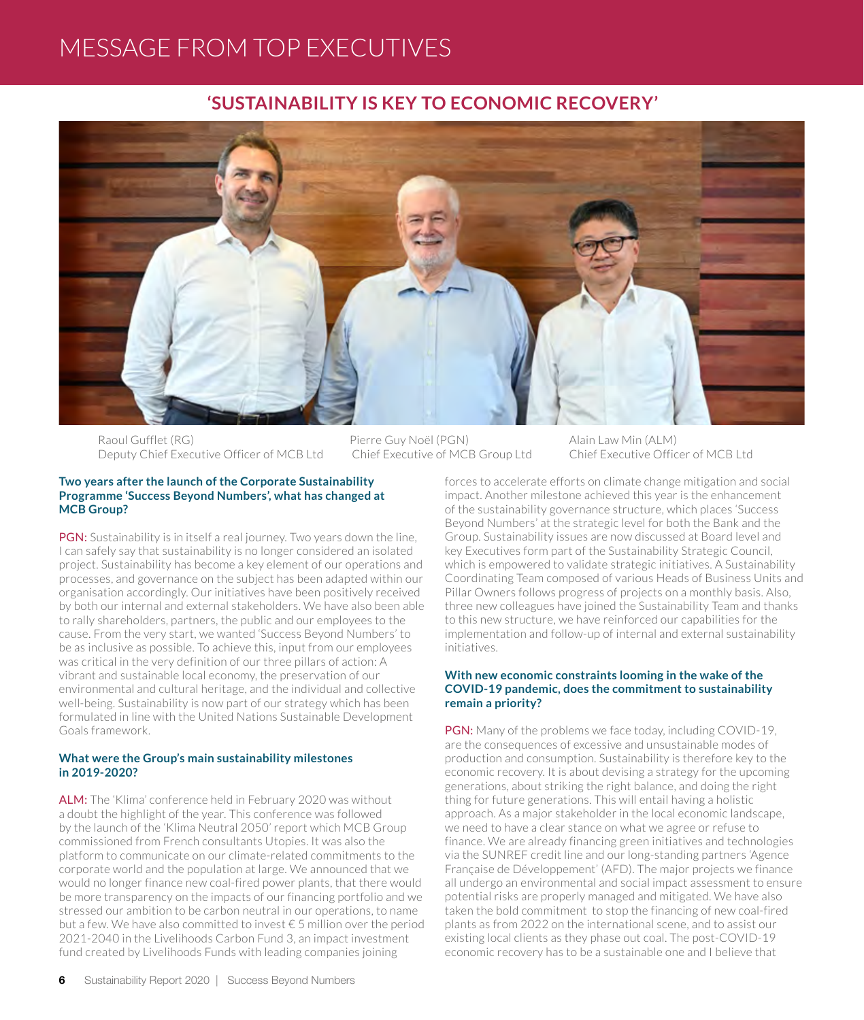# MESSAGE FROM TOP EXECUTIVES

## **'SUSTAINABILITY IS KEY TO ECONOMIC RECOVERY'**



Raoul Gufflet (RG) Deputy Chief Executive Officer of MCB Ltd Pierre Guy Noël (PGN) Chief Executive of MCB Group Ltd

Alain Law Min (ALM) Chief Executive Officer of MCB Ltd

#### **Two years after the launch of the Corporate Sustainability Programme 'Success Beyond Numbers', what has changed at MCB Group?**

PGN: Sustainability is in itself a real journey. Two years down the line, I can safely say that sustainability is no longer considered an isolated project. Sustainability has become a key element of our operations and processes, and governance on the subject has been adapted within our organisation accordingly. Our initiatives have been positively received by both our internal and external stakeholders. We have also been able to rally shareholders, partners, the public and our employees to the cause. From the very start, we wanted 'Success Beyond Numbers' to be as inclusive as possible. To achieve this, input from our employees was critical in the very definition of our three pillars of action: A vibrant and sustainable local economy, the preservation of our environmental and cultural heritage, and the individual and collective well-being. Sustainability is now part of our strategy which has been formulated in line with the United Nations Sustainable Development Goals framework.

#### **What were the Group's main sustainability milestones in 2019-2020?**

ALM: The 'Klima' conference held in February 2020 was without a doubt the highlight of the year. This conference was followed by the launch of the 'Klima Neutral 2050' report which MCB Group commissioned from French consultants Utopies. It was also the platform to communicate on our climate-related commitments to the corporate world and the population at large. We announced that we would no longer finance new coal-fired power plants, that there would be more transparency on the impacts of our financing portfolio and we stressed our ambition to be carbon neutral in our operations, to name but a few. We have also committed to invest € 5 million over the period 2021-2040 in the Livelihoods Carbon Fund 3, an impact investment fund created by Livelihoods Funds with leading companies joining

forces to accelerate efforts on climate change mitigation and social impact. Another milestone achieved this year is the enhancement of the sustainability governance structure, which places 'Success Beyond Numbers' at the strategic level for both the Bank and the Group. Sustainability issues are now discussed at Board level and key Executives form part of the Sustainability Strategic Council, which is empowered to validate strategic initiatives. A Sustainability Coordinating Team composed of various Heads of Business Units and Pillar Owners follows progress of projects on a monthly basis. Also, three new colleagues have joined the Sustainability Team and thanks to this new structure, we have reinforced our capabilities for the implementation and follow-up of internal and external sustainability initiatives.

#### **With new economic constraints looming in the wake of the COVID-19 pandemic, does the commitment to sustainability remain a priority?**

PGN: Many of the problems we face today, including COVID-19, are the consequences of excessive and unsustainable modes of production and consumption. Sustainability is therefore key to the economic recovery. It is about devising a strategy for the upcoming generations, about striking the right balance, and doing the right thing for future generations. This will entail having a holistic approach. As a major stakeholder in the local economic landscape, we need to have a clear stance on what we agree or refuse to finance. We are already financing green initiatives and technologies via the SUNREF credit line and our long-standing partners 'Agence Française de Développement' (AFD). The major projects we finance all undergo an environmental and social impact assessment to ensure potential risks are properly managed and mitigated. We have also taken the bold commitment to stop the financing of new coal-fired plants as from 2022 on the international scene, and to assist our existing local clients as they phase out coal. The post-COVID-19 economic recovery has to be a sustainable one and I believe that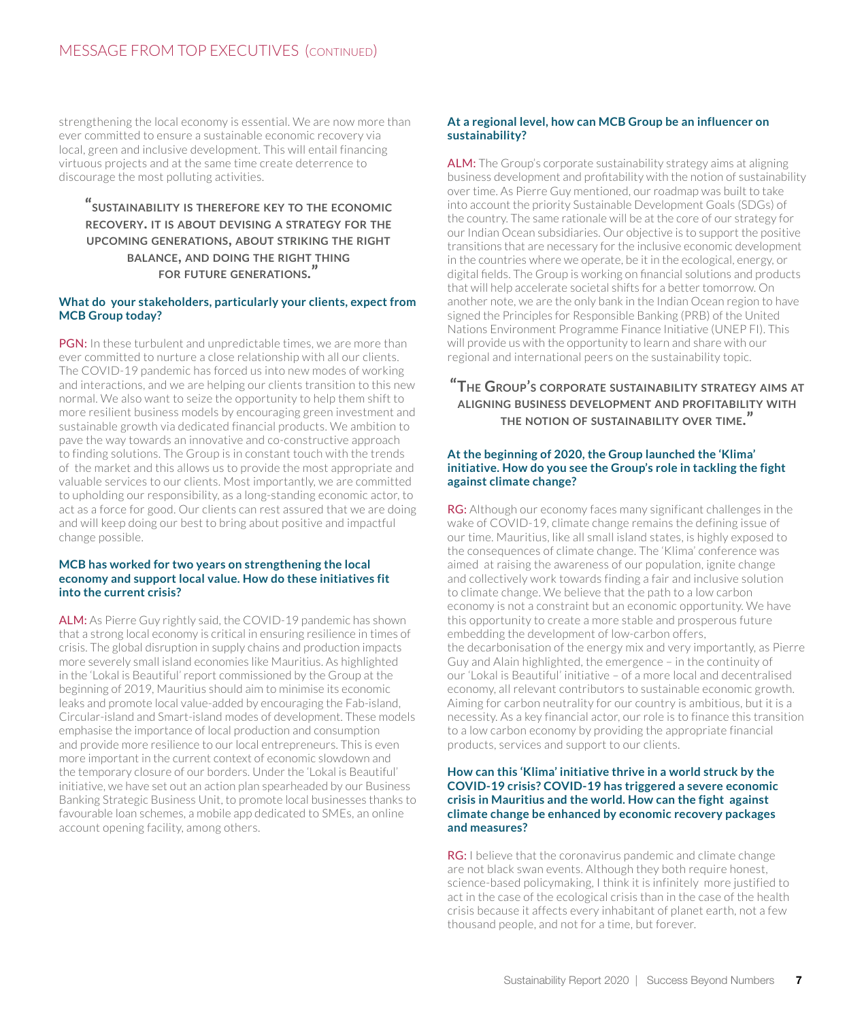strengthening the local economy is essential. We are now more than ever committed to ensure a sustainable economic recovery via local, green and inclusive development. This will entail financing virtuous projects and at the same time create deterrence to discourage the most polluting activities.

**"sustainability is therefore key to the economic recovery. it is about devising a strategy for the upcoming generations, about striking the right balance, and doing the right thing for future generations."**

#### **What do your stakeholders, particularly your clients, expect from MCB Group today?**

PGN: In these turbulent and unpredictable times, we are more than ever committed to nurture a close relationship with all our clients. The COVID-19 pandemic has forced us into new modes of working and interactions, and we are helping our clients transition to this new normal. We also want to seize the opportunity to help them shift to more resilient business models by encouraging green investment and sustainable growth via dedicated financial products. We ambition to pave the way towards an innovative and co-constructive approach to finding solutions. The Group is in constant touch with the trends of the market and this allows us to provide the most appropriate and valuable services to our clients. Most importantly, we are committed to upholding our responsibility, as a long-standing economic actor, to act as a force for good. Our clients can rest assured that we are doing and will keep doing our best to bring about positive and impactful change possible.

#### **MCB has worked for two years on strengthening the local economy and support local value. How do these initiatives fit into the current crisis?**

ALM: As Pierre Guy rightly said, the COVID-19 pandemic has shown that a strong local economy is critical in ensuring resilience in times of crisis. The global disruption in supply chains and production impacts more severely small island economies like Mauritius. As highlighted in the 'Lokal is Beautiful' report commissioned by the Group at the beginning of 2019, Mauritius should aim to minimise its economic leaks and promote local value-added by encouraging the Fab-island, Circular-island and Smart-island modes of development. These models emphasise the importance of local production and consumption and provide more resilience to our local entrepreneurs. This is even more important in the current context of economic slowdown and the temporary closure of our borders. Under the 'Lokal is Beautiful' initiative, we have set out an action plan spearheaded by our Business Banking Strategic Business Unit, to promote local businesses thanks to favourable loan schemes, a mobile app dedicated to SMEs, an online account opening facility, among others.

#### **At a regional level, how can MCB Group be an influencer on sustainability?**

ALM: The Group's corporate sustainability strategy aims at aligning business development and profitability with the notion of sustainability over time. As Pierre Guy mentioned, our roadmap was built to take into account the priority Sustainable Development Goals (SDGs) of the country. The same rationale will be at the core of our strategy for our Indian Ocean subsidiaries. Our objective is to support the positive transitions that are necessary for the inclusive economic development in the countries where we operate, be it in the ecological, energy, or digital fields. The Group is working on financial solutions and products that will help accelerate societal shifts for a better tomorrow. On another note, we are the only bank in the Indian Ocean region to have signed the Principles for Responsible Banking (PRB) of the United Nations Environment Programme Finance Initiative (UNEP FI). This will provide us with the opportunity to learn and share with our regional and international peers on the sustainability topic.

### **"The Group's corporate sustainability strategy aims at aligning business development and profitability with the notion of sustainability over time."**

#### **At the beginning of 2020, the Group launched the 'Klima' initiative. How do you see the Group's role in tackling the fight against climate change?**

RG: Although our economy faces many significant challenges in the wake of COVID-19, climate change remains the defining issue of our time. Mauritius, like all small island states, is highly exposed to the consequences of climate change. The 'Klima' conference was aimed at raising the awareness of our population, ignite change and collectively work towards finding a fair and inclusive solution to climate change. We believe that the path to a low carbon economy is not a constraint but an economic opportunity. We have this opportunity to create a more stable and prosperous future embedding the development of low-carbon offers, the decarbonisation of the energy mix and very importantly, as Pierre Guy and Alain highlighted, the emergence – in the continuity of our 'Lokal is Beautiful' initiative – of a more local and decentralised economy, all relevant contributors to sustainable economic growth. Aiming for carbon neutrality for our country is ambitious, but it is a necessity. As a key financial actor, our role is to finance this transition to a low carbon economy by providing the appropriate financial products, services and support to our clients.

#### **How can this 'Klima' initiative thrive in a world struck by the COVID-19 crisis? COVID-19 has triggered a severe economic crisis in Mauritius and the world. How can the fight against climate change be enhanced by economic recovery packages and measures?**

RG: I believe that the coronavirus pandemic and climate change are not black swan events. Although they both require honest, science-based policymaking, I think it is infinitely more justified to act in the case of the ecological crisis than in the case of the health crisis because it affects every inhabitant of planet earth, not a few thousand people, and not for a time, but forever.